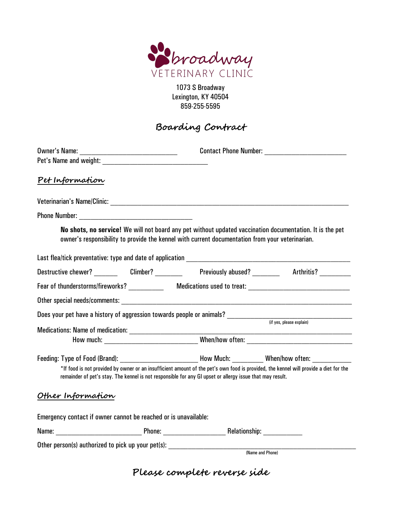

1073 S Broadway Lexington, KY 40504 859-255-5595

## **Boarding Contract**

|                                                                 |                  | Contact Phone Number:                                                                                                                                                                                       |                                                                                                                                                                                                                                                            |  |
|-----------------------------------------------------------------|------------------|-------------------------------------------------------------------------------------------------------------------------------------------------------------------------------------------------------------|------------------------------------------------------------------------------------------------------------------------------------------------------------------------------------------------------------------------------------------------------------|--|
| Pet Information                                                 |                  |                                                                                                                                                                                                             |                                                                                                                                                                                                                                                            |  |
|                                                                 |                  |                                                                                                                                                                                                             |                                                                                                                                                                                                                                                            |  |
| Phone Number: <u>__________________________</u>                 |                  |                                                                                                                                                                                                             |                                                                                                                                                                                                                                                            |  |
|                                                                 |                  | No shots, no service! We will not board any pet without updated vaccination documentation. It is the pet<br>owner's responsibility to provide the kennel with current documentation from your veterinarian. |                                                                                                                                                                                                                                                            |  |
|                                                                 |                  |                                                                                                                                                                                                             |                                                                                                                                                                                                                                                            |  |
|                                                                 |                  |                                                                                                                                                                                                             | Destructive chewer? ________  Climber? __________   Previously abused? _________  Arthritis? ___________                                                                                                                                                   |  |
|                                                                 |                  |                                                                                                                                                                                                             |                                                                                                                                                                                                                                                            |  |
|                                                                 |                  |                                                                                                                                                                                                             |                                                                                                                                                                                                                                                            |  |
|                                                                 |                  |                                                                                                                                                                                                             | Does your pet have a history of aggression towards people or animals?<br>(if yes, please explain)                                                                                                                                                          |  |
|                                                                 |                  |                                                                                                                                                                                                             |                                                                                                                                                                                                                                                            |  |
|                                                                 |                  |                                                                                                                                                                                                             |                                                                                                                                                                                                                                                            |  |
|                                                                 |                  | remainder of pet's stay. The kennel is not responsible for any GI upset or allergy issue that may result.                                                                                                   | Feeding: Type of Food (Brand): _________________________________How Much: ____________When/how often: ___________<br>*If food is not provided by owner or an insufficient amount of the pet's own food is provided, the kennel will provide a diet for the |  |
| Other Information                                               |                  |                                                                                                                                                                                                             |                                                                                                                                                                                                                                                            |  |
| Emergency contact if owner cannot be reached or is unavailable: |                  |                                                                                                                                                                                                             |                                                                                                                                                                                                                                                            |  |
|                                                                 |                  |                                                                                                                                                                                                             |                                                                                                                                                                                                                                                            |  |
|                                                                 |                  | Other person(s) authorized to pick up your pet(s): _____________________________                                                                                                                            |                                                                                                                                                                                                                                                            |  |
|                                                                 | (Name and Phone) |                                                                                                                                                                                                             |                                                                                                                                                                                                                                                            |  |

**Please complete reverse side**